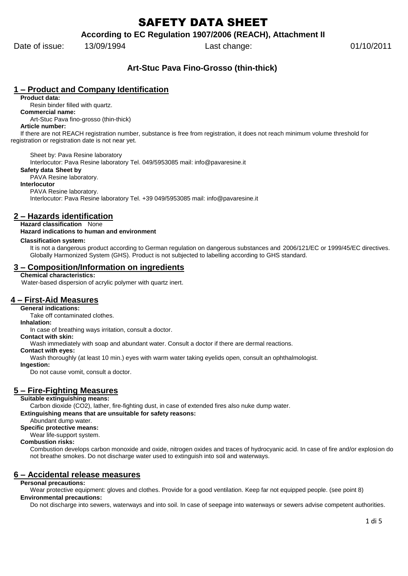# SAFETY DATA SHEET

**According to EC Regulation 1907/2006 (REACH), Attachment II**

Date of issue: 13/09/1994 Last change: 01/10/2011

# **Art-Stuc Pava Fino-Grosso (thin-thick)**

# **1 – Product and Company Identification**

#### **Product data:**

Resin binder filled with quartz.

**Commercial name:**

Art-Stuc Pava fino-grosso (thin-thick) **Article number:**

If there are not REACH registration number, substance is free from registration, it does not reach minimum volume threshold for registration or registration date is not near yet.

Sheet by: Pava Resine laboratory

Interlocutor: Pava Resine laboratory Tel. 049/5953085 mail: info@pavaresine.it

### **Safety data Sheet by**

PAVA Resine laboratory.

#### **Interlocutor**

PAVA Resine laboratory. Interlocutor: Pava Resine laboratory Tel. +39 049/5953085 mail: [info@pavaresine.it](mailto:info@pavaresine.it)

# **2 – Hazards identification**

**Hazard classification** None

**Hazard indications to human and environment**

#### **Classification system:**

It is not a dangerous product according to German regulation on dangerous substances and 2006/121/EC or 1999/45/EC directives. Globally Harmonized System (GHS). Product is not subjected to labelling according to GHS standard.

# **3 – Composition/Information on ingredients**

### **Chemical characteristics:**

Water-based dispersion of acrylic polymer with quartz inert.

### **4 – First-Aid Measures**

**General indications:**

Take off contaminated clothes.

**Inhalation:**

In case of breathing ways irritation, consult a doctor.

#### **Contact with skin:**

Wash immediately with soap and abundant water. Consult a doctor if there are dermal reactions.

**Contact with eyes:**

Wash thoroughly (at least 10 min.) eyes with warm water taking eyelids open, consult an ophthalmologist.

#### **Ingestion:**

Do not cause vomit, consult a doctor.

# **5 – Fire-Fighting Measures**

**Suitable extinguishing means:**

Carbon dioxide (CO2), lather, fire-fighting dust, in case of extended fires also nuke dump water.

# **Extinguishing means that are unsuitable for safety reasons:**

Abundant dump water.

**Specific protective means:**

Wear life-support system.

**Combustion risks:**

Combustion develops carbon monoxide and oxide, nitrogen oxides and traces of hydrocyanic acid. In case of fire and/or explosion do not breathe smokes. Do not discharge water used to extinguish into soil and waterways.

# **6 – Accidental release measures**

### **Personal precautions:**

Wear protective equipment: gloves and clothes. Provide for a good ventilation. Keep far not equipped people. (see point 8) **Environmental precautions:**

Do not discharge into sewers, waterways and into soil. In case of seepage into waterways or sewers advise competent authorities.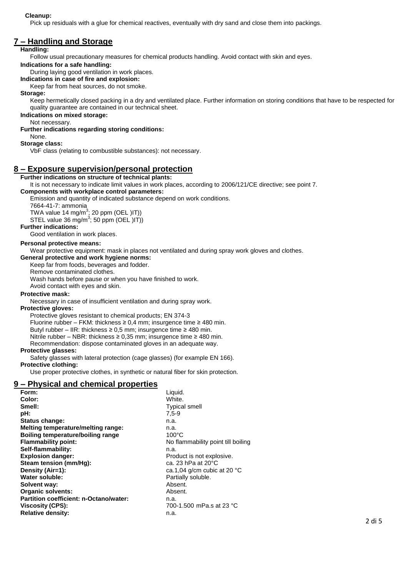#### **Cleanup:**

Pick up residuals with a glue for chemical reactives, eventually with dry sand and close them into packings.

# **7 – Handling and Storage**

### **Handling:**

Follow usual precautionary measures for chemical products handling. Avoid contact with skin and eyes.

#### **Indications for a safe handling:**

During laying good ventilation in work places.

# **Indications in case of fire and explosion:**

Keep far from heat sources, do not smoke.

#### **Storage:**

Keep hermetically closed packing in a dry and ventilated place. Further information on storing conditions that have to be respected for quality guarantee are contained in our technical sheet.

#### **Indications on mixed storage:**

Not necessary.

#### **Further indications regarding storing conditions:**

None.

#### **Storage class:**

VbF class (relating to combustible substances): not necessary.

# **8 – Exposure supervision/personal protection**

**Further indications on structure of technical plants:**

It is not necessary to indicate limit values in work places, according to 2006/121/CE directive; see point 7.

**Components with workplace control parameters:**

Emission and quantity of indicated substance depend on work conditions.

7664-41-7: ammonia

TWA value 14 mg/m $3$ ; 20 ppm (OEL )IT))

STEL value 36 mg/m<sup>3</sup>; 50 ppm (OEL )IT))

#### **Further indications:**

Good ventilation in work places.

#### **Personal protective means:**

Wear protective equipment: mask in places not ventilated and during spray work gloves and clothes.

**General protective and work hygiene norms:**

Keep far from foods, beverages and fodder.

Remove contaminated clothes.

Wash hands before pause or when you have finished to work.

Avoid contact with eyes and skin.

#### **Protective mask:**

Necessary in case of insufficient ventilation and during spray work.

#### **Protective gloves:**

Protective gloves resistant to chemical products; EN 374-3 Fluorine rubber – FKM: thickness ≥ 0,4 mm; insurgence time ≥ 480 min. Butyl rubber – IIR: thickness  $\geq 0.5$  mm; insurgence time  $\geq 480$  min. Nitrile rubber – NBR: thickness ≥ 0,35 mm; insurgence time ≥ 480 min. Recommendation: dispose contaminated gloves in an adequate way.

#### **Protective glasses:**

Safety glasses with lateral protection (cage glasses) (for example EN 166).

#### **Protective clothing:**

Use proper protective clothes, in synthetic or natural fiber for skin protection.

# **9 – Physical and chemical properties**

| Form:                                  | Liquid.                            |        |
|----------------------------------------|------------------------------------|--------|
| Color:                                 | White.                             |        |
| Smell:                                 | <b>Typical smell</b>               |        |
| pH:                                    | $7,5-9$                            |        |
| <b>Status change:</b>                  | n.a.                               |        |
| Melting temperature/melting range:     | n.a.                               |        |
| Boiling temperature/boiling range      | $100^{\circ}$ C                    |        |
| <b>Flammability point:</b>             | No flammability point till boiling |        |
| Self-flammability:                     | n.a.                               |        |
| <b>Explosion danger:</b>               | Product is not explosive.          |        |
| Steam tension (mm/Hg):                 | ca. 23 hPa at $20^{\circ}$ C       |        |
| Density (Air=1):                       | ca.1,04 $q/cm$ cubic at 20 $°C$    |        |
| Water soluble:                         | Partially soluble.                 |        |
| Solvent way:                           | Absent.                            |        |
| <b>Organic solvents:</b>               | Absent.                            |        |
| Partition coefficient: n-Octano/water: | n.a.                               |        |
| <b>Viscosity (CPS):</b>                | 700-1.500 mPa.s at 23 °C           |        |
| <b>Relative density:</b>               | n.a.                               |        |
|                                        |                                    | 2 di 5 |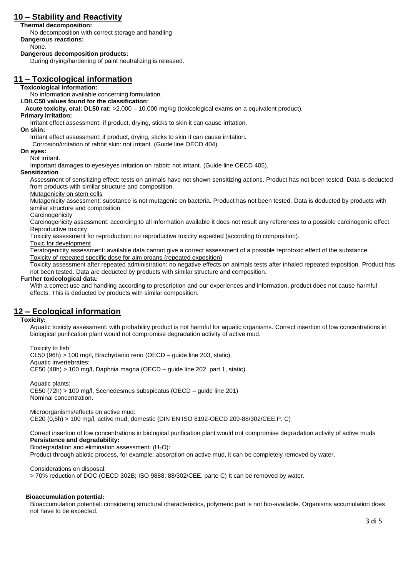# **10 – Stability and Reactivity**

#### **Thermal decomposition:**

No decomposition with correct storage and handling **Dangerous reactions:**

None.

#### **Dangerous decomposition products:**

During drying/hardening of paint neutralizing is released.

# **11 – Toxicological information**

#### **Toxicological information:**

No information available concerning formulation.

### **LD/LC50 values found for the classification:**

**Acute toxicity, oral: DL50 rat:** >2.000 – 10.000 mg/kg (toxicological exams on a equivalent product).

#### **Primary irritation:**

Irritant effect assessment: if product, drying, sticks to skin it can cause irritation.

#### **On skin:**

Irritant effect assessment: if product, drying, sticks to skin it can cause irritation.

Corrosion/irritation of rabbit skin: not irritant. (Guide line OECD 404).

#### **On eyes:**

Not irritant.

Important damages to eyes/eyes irritation on rabbit: not irritant. (Guide line OECD 405).

#### **Sensitization**

Assessment of sensitizing effect: tests on animals have not shown sensitizing actions. Product has not been tested. Data is deducted from products with similar structure and composition.

Mutagenicity on stem cells

Mutagenicity assessment: substance is not mutagenic on bacteria. Product has not been tested. Data is deducted by products with similar structure and composition.

#### **Carcinogenicity**

Carcinogenicity assessment: according to all information available it does not result any references to a possible carcinogenic effect. Reproductive toxicity

Toxicity assessment for reproduction: no reproductive toxicity expected (according to composition).

Toxic for development

Teratogenicity assessment: available data cannot give a correct assessment of a possible reprotoxic effect of the substance. Toxicity of repeated specific dose for aim organs (repeated exposition)

Toxicity assessment after repeated administration: no negative effects on animals tests after inhaled repeated exposition. Product has not been tested. Data are deducted by products with similar structure and composition.

#### **Further toxicological data:**

With a correct use and handling according to prescription and our experiences and information, product does not cause harmful effects. This is deducted by products with similar composition.

# **12 – Ecological information**

# **Toxicity:**

Aquatic toxicity assessment: with probability product is not harmful for aquatic organisms. Correct insertion of low concentrations in biological purification plant would not compromise degradation activity of active mud.

Toxicity to fish: CL50 (96h) > 100 mg/l, Brachydanio rerio (OECD – guide line 203, static). Aquatic invertebrates: CE50 (48h) > 100 mg/l, Daphnia magna (OECD – guide line 202, part 1, static).

Aquatic plants: CE50 (72h) > 100 mg/l, Scenedesmus subspicatus (OECD – guide line 201) Nominal concentration.

Microorganisms/effects on active mud:

CE20 (0,5h) > 100 mg/l, active mud, domestic (DIN EN ISO 8192-OECD 209-88/302/CEE,P. C)

Correct insertion of low concentrations in biological purification plant would not compromise degradation activity of active muds  **Persistence and degradability:**

Biodegradation and elimination assessment:  $(H_2O)$ :

Product through abiotic process, for example: absorption on active mud, it can be completely removed by water.

Considerations on disposal:

> 70% reduction of DOC (OECD 302B; ISO 9888; 88/302/CEE, parte C) It can be removed by water.

#### **Bioaccumulation potential:**

Bioaccumulation potential: considering structural characteristics, polymeric part is not bio-available. Organisms accumulation does not have to be expected.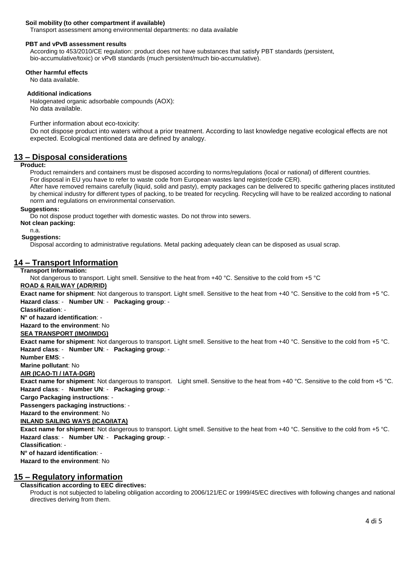#### **Soil mobility (to other compartment if available)**

Transport assessment among environmental departments: no data available

#### **PBT and vPvB assessment results**

According to 453/2010/CE regulation: product does not have substances that satisfy PBT standards (persistent, bio-accumulative/toxic) or vPvB standards (much persistent/much bio-accumulative).

#### **Other harmful effects**

No data available.

#### **Additional indications**

Halogenated organic adsorbable compounds (AOX): No data available.

Further information about eco-toxicity:

Do not dispose product into waters without a prior treatment. According to last knowledge negative ecological effects are not expected. Ecological mentioned data are defined by analogy.

# **13 – Disposal considerations**

#### **Product:**

Product remainders and containers must be disposed according to norms/regulations (local or national) of different countries. For disposal in EU you have to refer to waste code from European wastes land register(code CER).

After have removed remains carefully (liquid, solid and pasty), empty packages can be delivered to specific gathering places instituted by chemical industry for different types of packing, to be treated for recycling. Recycling will have to be realized according to national norm and regulations on environmental conservation.

#### **Suggestions:**

Do not dispose product together with domestic wastes. Do not throw into sewers.

**Not clean packing:**

n.a.

**Suggestions:**

Disposal according to administrative regulations. Metal packing adequately clean can be disposed as usual scrap.

# **14 – Transport Information**

**Transport Information:**

Not dangerous to transport. Light smell. Sensitive to the heat from +40 °C. Sensitive to the cold from +5 °C

#### **ROAD & RAILWAY (ADR/RID)**

**Exact name for shipment**: Not dangerous to transport. Light smell. Sensitive to the heat from +40 °C. Sensitive to the cold from +5 °C. **Hazard class**: - **Number UN**: - **Packaging group**: -

**Classification**: -

**N° of hazard identification**: -

**Hazard to the environment**: No

### **SEA TRANSPORT (IMO/IMDG)**

**Exact name for shipment**: Not dangerous to transport. Light smell. Sensitive to the heat from +40 °C. Sensitive to the cold from +5 °C. **Hazard class**: - **Number UN**: - **Packaging group**: -

**Number EMS**: -

**Marine pollutant**: No

#### **AIR (ICAO-TI / IATA-DGR)**

**Exact name for shipment**: Not dangerous to transport. Light smell. Sensitive to the heat from +40 °C. Sensitive to the cold from +5 °C. **Hazard class**: - **Number UN**: - **Packaging group**: -

**Cargo Packaging instructions**: -

**Passengers packaging instructions**: -

**Hazard to the environment**: No

**INLAND SAILING WAYS (ICAO/IATA)**

**Exact name for shipment**: Not dangerous to transport. Light smell. Sensitive to the heat from +40 °C. Sensitive to the cold from +5 °C. **Hazard class**: - **Number UN**: - **Packaging group**: - **Classification**: -

**N° of hazard identification**: -

**Hazard to the environment**: No

# **15 – Regulatory information**

**Classification according to EEC directives:** Product is not subjected to labeling obligation according to 2006/121/EC or 1999/45/EC directives with following changes and national directives deriving from them.